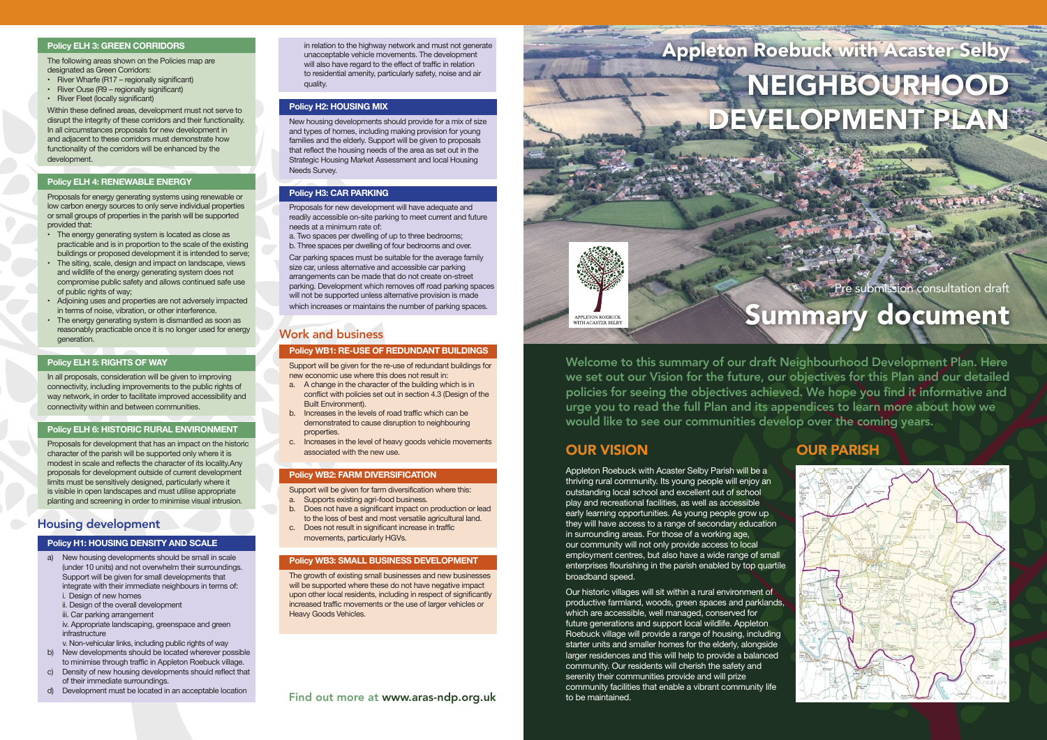# Summary document



Welcome to this summary of our draft Neighbourhood Development Plan. Here we set out our Vision for the future, our objectives for this Plan and our detailed policies for seeing the objectives achieved. We hope you find it informative and urge you to read the full Plan and its appendices to learn more about how we would like to see our communities develop over the coming years.

# OUR VISION **OUR PARISH**

**APPLETON ROEBLICK WILLION ROLDOCH**<br>VITH ACASTER SELB

Appleton Roebuck with Acaster Selby Parish will be a thriving rural community. Its young people will enjoy an outstanding local school and excellent out of school play and recreational facilities, as well as accessible early learning opportunities. As young people grow up they will have access to a range of secondary education in surrounding areas. For those of a working age, our community will not only provide access to local employment centres, but also have a wide range of small enterprises flourishing in the parish enabled by top quartile broadband speed.

- • River Wharfe (R17 regionally significant)
- River Ouse (R9 regionally significant)
- River Fleet (locally significant)

Our historic villages will sit within a rural environment of productive farmland, woods, green spaces and parklands, which are accessible, well managed, conserved for future generations and support local wildlife. Appleton Roebuck village will provide a range of housing, including starter units and smaller homes for the elderly, alongside larger residences and this will help to provide a balanced community. Our residents will cherish the safety and serenity their communities provide and will prize community facilities that enable a vibrant community life to be maintained.

# Appleton Roebuck with Acaster Selby NEIGHBOURHOOD DEVELOPMENT PLANS

Pre submission consultation draft

- The energy generating system is located as close as practicable and is in proportion to the scale of the existing buildings or proposed development it is intended to serve;
- The siting, scale, design and impact on landscape, views and wildlife of the energy generating system does not compromise public safety and allows continued safe use of public rights of way;
- • Adjoining uses and properties are not adversely impacted in terms of noise, vibration, or other interference.
- The energy generating system is dismantled as soon as reasonably practicable once it is no longer used for energy generation.

In all proposals, consideration will be given to improving connectivity, including improvements to the public rights of way network, in order to facilitate improved accessibility and connectivity within and between communities.

#### **Policy ELH 3: GREEN CORRIDORS**

The following areas shown on the Policies map are designated as Green Corridors:

Within these defined areas, development must not serve to disrupt the integrity of these corridors and their functionality. In all circumstances proposals for new development in and adjacent to these corridors must demonstrate how functionality of the corridors will be enhanced by the development.

#### **Policy ELH 4: RENEWABLE ENERGY**

Proposals for energy generating systems using renewable or low carbon energy sources to only serve individual properties or small groups of properties in the parish will be supported provided that:

> Car parking spaces must be suitable for the average family size car, unless alternative and accessible car parking arrangements can be made that do not create on-street parking. Development which removes off road parking spaces will not be supported unless alternative provision is made which increases or maintains the number of parking spaces.

#### **Policy ELH 5: RIGHTS OF WAY**

#### **Policy ELH 6: HISTORIC RURAL ENVIRONMENT**

Proposals for development that has an impact on the historic character of the parish will be supported only where it is modest in scale and reflects the character of its locality.Any proposals for development outside of current development limits must be sensitively designed, particularly where it is visible in open landscapes and must utilise appropriate planting and screening in order to minimise visual intrusion.

#### Housing development

#### **Policy H1: HOUSING DENSITY AND SCALE**

- a) New housing developments should be small in scale (under 10 units) and not overwhelm their surroundings. Support will be given for small developments that integrate with their immediate neighbours in terms of: i. Design of new homes
	- ii. Design of the overall development
	- iii. Car parking arrangement
	- iv. Appropriate landscaping, greenspace and green infrastructure
- v. Non-vehicular links, including public rights of way<br>b) New developments should be located wherever po
- New developments should be located wherever possible to minimise through traffic in Appleton Roebuck village.
- c) Density of new housing developments should reflect that of their immediate surroundings.
- d) Development must be located in an acceptable location

in relation to the highway network and must not generate unacceptable vehicle movements. The development will also have regard to the effect of traffic in relation to residential amenity, particularly safety, noise and air quality.

#### **Policy H2: HOUSING MIX**

New housing developments should provide for a mix of size and types of homes, including making provision for young families and the elderly. Support will be given to proposals that reflect the housing needs of the area as set out in the Strategic Housing Market Assessment and local Housing Needs Survey.

#### **Policy H3: CAR PARKING**

Proposals for new development will have adequate and readily accessible on-site parking to meet current and future needs at a minimum rate of:

a. Two spaces per dwelling of up to three bedrooms; b. Three spaces per dwelling of four bedrooms and over.

### Work and business

#### **Policy WB1: RE-USE OF REDUNDANT BUILDINGS**

Support will be given for the re-use of redundant buildings for new economic use where this does not result in:

- a. A change in the character of the building which is in conflict with policies set out in section 4.3 (Design of the Built Environment).
- b. Increases in the levels of road traffic which can be demonstrated to cause disruption to neighbouring properties.
- c. Increases in the level of heavy goods vehicle movements associated with the new use.

#### **Policy WB2: FARM DIVERSIFICATION**

Support will be given for farm diversification where this:

- a. Supports existing agri-food business.
- b. Does not have a significant impact on production or lead to the loss of best and most versatile agricultural land.
- c. Does not result in significant increase in traffic movements, particularly HGVs.

#### **Policy WB3: SMALL BUSINESS DEVELOPMENT**

The growth of existing small businesses and new businesses will be supported where these do not have negative impact upon other local residents, including in respect of significantly increased traffic movements or the use of larger vehicles or Heavy Goods Vehicles.

Find out more at www.aras-ndp.org.uk